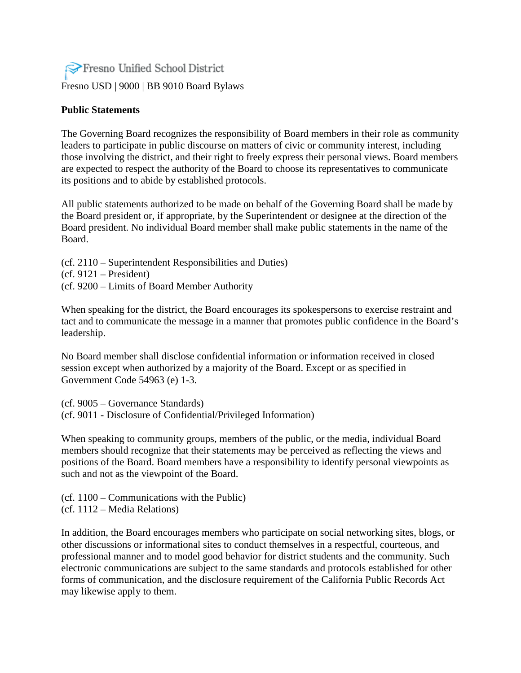## Fresno Unified School District [Fresno USD](http://www.fresnounified.org/board/policies/Policies/fusd/loaddistrictpolicy/1050.htm) | [9000](http://www.fresnounified.org/board/policies/Policies/fusd/policycategorylist/1050/9.htm) | BB 9010 Board Bylaws

## **Public Statements**

The Governing Board recognizes the responsibility of Board members in their role as community leaders to participate in public discourse on matters of civic or community interest, including those involving the district, and their right to freely express their personal views. Board members are expected to respect the authority of the Board to choose its representatives to communicate its positions and to abide by established protocols.

All public statements authorized to be made on behalf of the Governing Board shall be made by the Board president or, if appropriate, by the Superintendent or designee at the direction of the Board president. No individual Board member shall make public statements in the name of the Board.

(cf. 2110 – Superintendent Responsibilities and Duties)  $(cf. 9121 - President)$ (cf. 9200 – Limits of Board Member Authority

When speaking for the district, the Board encourages its spokespersons to exercise restraint and tact and to communicate the message in a manner that promotes public confidence in the Board's leadership.

No Board member shall disclose confidential information or information received in closed session except when authorized by a majority of the Board. Except or as specified in Government Code 54963 (e) 1-3.

(cf. 9005 – Governance Standards) (cf. [9011](http://www.fresnounified.org/board/policies/Policies/fusd/displaypolicy/143718/9.htm) - Disclosure of Confidential/Privileged Information)

When speaking to community groups, members of the public, or the media, individual Board members should recognize that their statements may be perceived as reflecting the views and positions of the Board. Board members have a responsibility to identify personal viewpoints as such and not as the viewpoint of the Board.

(cf. 1100 – Communications with the Public) (cf. 1112 – Media Relations)

In addition, the Board encourages members who participate on social networking sites, blogs, or other discussions or informational sites to conduct themselves in a respectful, courteous, and professional manner and to model good behavior for district students and the community. Such electronic communications are subject to the same standards and protocols established for other forms of communication, and the disclosure requirement of the California Public Records Act may likewise apply to them.